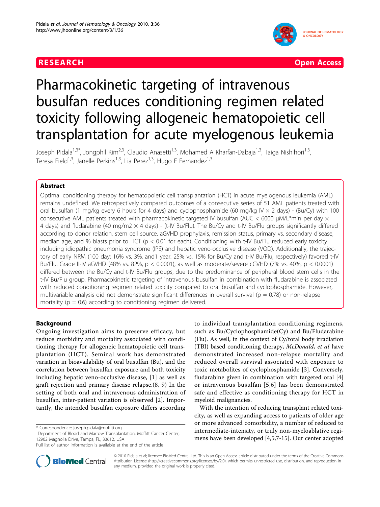

R E S EARCH Open Access

# Pharmacokinetic targeting of intravenous busulfan reduces conditioning regimen related toxicity following allogeneic hematopoietic cell transplantation for acute myelogenous leukemia

Joseph Pidala<sup>1,3\*</sup>, Jongphil Kim<sup>2,3</sup>, Claudio Anasetti<sup>1,3</sup>, Mohamed A Kharfan-Dabaja<sup>1,3</sup>, Taiga Nishihori<sup>1,3</sup>, Teresa Field<sup>1,3</sup>, Janelle Perkins<sup>1,3</sup>, Lia Perez<sup>1,3</sup>, Hugo F Fernandez<sup>1,3</sup>

# Abstract

Optimal conditioning therapy for hematopoietic cell transplantation (HCT) in acute myelogenous leukemia (AML) remains undefined. We retrospectively compared outcomes of a consecutive series of 51 AML patients treated with oral busulfan (1 mg/kg every 6 hours for 4 days) and cyclophosphamide (60 mg/kg IV  $\times$  2 days) - (Bu/Cy) with 100 consecutive AML patients treated with pharmacokinetic targeted IV busulfan (AUC < 6000 μM/L\*min per day × 4 days) and fludarabine (40 mg/m2  $\times$  4 days) - (t-IV Bu/Flu). The Bu/Cy and t-IV Bu/Flu groups significantly differed according to donor relation, stem cell source, aGVHD prophylaxis, remission status, primary vs. secondary disease, median age, and % blasts prior to HCT ( $p < 0.01$  for each). Conditioning with t-IV Bu/Flu reduced early toxicity including idiopathic pneumonia syndrome (IPS) and hepatic veno-occlusive disease (VOD). Additionally, the trajectory of early NRM (100 day: 16% vs. 3%, and1 year: 25% vs. 15% for Bu/Cy and t-IV Bu/Flu, respectively) favored t-IV Bu/Flu. Grade II-IV aGVHD (48% vs. 82%, p < 0.0001), as well as moderate/severe cGVHD (7% vs. 40%, p < 0.0001) differed between the Bu/Cy and t-IV Bu/Flu groups, due to the predominance of peripheral blood stem cells in the t-IV Bu/Flu group. Pharmacokinetic targeting of intravenous busulfan in combination with fludarabine is associated with reduced conditioning regimen related toxicity compared to oral busulfan and cyclophosphamide. However, multivariable analysis did not demonstrate significant differences in overall survival ( $p = 0.78$ ) or non-relapse mortality ( $p = 0.6$ ) according to conditioning regimen delivered.

# Background

Ongoing investigation aims to preserve efficacy, but reduce morbidity and mortality associated with conditioning therapy for allogeneic hematopoietic cell transplantation (HCT). Seminal work has demonstrated variation in bioavailability of oral busulfan (Bu), and the correlation between busulfan exposure and both toxicity including hepatic veno-occlusive disease, [[1](#page-7-0)] as well as graft rejection and primary disease relapse.(8, 9) In the setting of both oral and intravenous administration of busulfan, inter-patient variation is observed [\[2](#page-7-0)]. Importantly, the intended busulfan exposure differs according

\* Correspondence: [joseph.pidala@moffitt.org](mailto:joseph.pidala@moffitt.org)

<sup>1</sup>Department of Blood and Marrow Transplantation, Moffitt Cancer Center, 12902 Magnolia Drive, Tampa, FL, 33612, USA

to individual transplantation conditioning regimens, such as Bu/Cyclophosphamide(Cy) and Bu/Fludarabine (Flu). As well, in the context of Cy/total body irradiation (TBI) based conditioning therapy, McDonald, et al have demonstrated increased non-relapse mortality and reduced overall survival associated with exposure to toxic metabolites of cyclophosphamide [\[3](#page-7-0)]. Conversely, fludarabine given in combination with targeted oral [\[4](#page-7-0)] or intravenous busulfan [[5](#page-7-0),[6\]](#page-7-0) has been demonstrated safe and effective as conditioning therapy for HCT in myeloid malignancies.

With the intention of reducing transplant related toxicity, as well as expanding access to patients of older age or more advanced comorbidity, a number of reduced to intermediate-intensity, or truly non-myeloablative regimens have been developed [[4,5,7-15\]](#page-7-0). Our center adopted



© 2010 Pidala et al; licensee BioMed Central Ltd. This is an Open Access article distributed under the terms of the Creative Commons Attribution License [\(http://creativecommons.org/licenses/by/2.0](http://creativecommons.org/licenses/by/2.0)), which permits unrestricted use, distribution, and reproduction in any medium, provided the original work is properly cited.

Full list of author information is available at the end of the article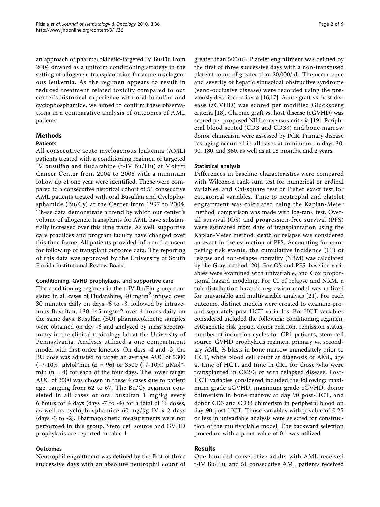an approach of pharmacokinetic-targeted IV Bu/Flu from 2004 onward as a uniform conditioning strategy in the setting of allogeneic transplantation for acute myelogenous leukemia. As the regimen appears to result in reduced treatment related toxicity compared to our center's historical experience with oral busulfan and cyclophosphamide, we aimed to confirm these observations in a comparative analysis of outcomes of AML patients.

# Methods

# Patients

All consecutive acute myelogenous leukemia (AML) patients treated with a conditioning regimen of targeted IV busulfan and fludarabine (t-IV Bu/Flu) at Moffitt Cancer Center from 2004 to 2008 with a minimum follow up of one year were identified. These were compared to a consecutive historical cohort of 51 consecutive AML patients treated with oral Busulfan and Cyclophosphamide (Bu/Cy) at the Center from 1997 to 2004. These data demonstrate a trend by which our center's volume of allogeneic transplants for AML have substantially increased over this time frame. As well, supportive care practices and program faculty have changed over this time frame. All patients provided informed consent for follow up of transplant outcome data. The reporting of this data was approved by the University of South Florida Institutional Review Board.

#### Conditioning, GVHD prophylaxis, and supportive care

The conditioning regimen in the t-IV Bu/Flu group consisted in all cases of Fludarabine,  $40 \text{ mg/m}^2$  infused over 30 minutes daily on days -6 to -3, followed by intravenous Busulfan, 130-145 mg/m2 over 4 hours daily on the same days. Busulfan (BU) pharmacokinetic samples were obtained on day -6 and analyzed by mass spectrometry in the clinical toxicology lab at the University of Pennsylvania. Analysis utilized a one compartment model with first order kinetics. On days -4 and -3, the BU dose was adjusted to target an average AUC of 5300 (+/-10%) μMol\*min (n = 96) or 3500 (+/-10%) μMol\* min ( $n = 4$ ) for each of the four days. The lower target AUC of 3500 was chosen in these 4 cases due to patient age, ranging from 62 to 67. The Bu/Cy regimen consisted in all cases of oral busulfan 1 mg/kg every 6 hours for 4 days (days -7 to -4) for a total of 16 doses, as well as cyclophosphamide 60 mg/kg IV  $\times$  2 days (days -3 to -2). Pharmacokinetic measurements were not performed in this group. Stem cell source and GVHD prophylaxis are reported in table [1](#page-2-0).

#### **Outcomes**

Neutrophil engraftment was defined by the first of three successive days with an absolute neutrophil count of

greater than 500/uL. Platelet engraftment was defined by the first of three successive days with a non-transfused platelet count of greater than 20,000/uL. The occurrence and severity of hepatic sinusoidal obstructive syndrome (veno-occlusive disease) were recorded using the previously described criteria [[16,17\]](#page-7-0). Acute graft vs. host disease (aGVHD) was scored per modified Glucksberg criteria [[18\]](#page-7-0). Chronic graft vs. host disease (cGVHD) was scored per proposed NIH consensus criteria [\[19](#page-7-0)]. Peripheral blood sorted (CD3 and CD33) and bone marrow donor chimerism were assessed by PCR. Primary disease restaging occurred in all cases at minimum on days 30, 90, 180, and 360, as well as at 18 months, and 2 years.

#### Statistical analysis

Differences in baseline characteristics were compared with Wilcoxon rank-sum test for numerical or ordinal variables, and Chi-square test or Fisher exact test for categorical variables. Time to neutrophil and platelet engraftment was calculated using the Kaplan-Meier method; comparison was made with log-rank test. Overall survival (OS) and progression-free survival (PFS) were estimated from date of transplantation using the Kaplan-Meier method; death or relapse was considered an event in the estimation of PFS. Accounting for competing risk events, the cumulative incidence (CI) of relapse and non-relapse mortality (NRM) was calculated by the Gray method [[20\]](#page-7-0). For OS and PFS, baseline variables were examined with univariable, and Cox proportional hazard modeling. For CI of relapse and NRM, a sub-distribution hazards regression model was utilized for univariable and multivariable analysis [[21\]](#page-7-0). For each outcome, distinct models were created to examine preand separately post-HCT variables. Pre-HCT variables considered included the following: conditioning regimen, cytogenetic risk group, donor relation, remission status, number of induction cycles for CR1 patients, stem cell source, GVHD prophylaxis regimen, primary vs. secondary AML, % blasts in bone marrow immediately prior to HCT, white blood cell count at diagnosis of AML, age at time of HCT, and time in CR1 for those who were transplanted in CR2/3 or with relapsed disease. Post-HCT variables considered included the following: maximum grade aGVHD, maximum grade cGVHD, donor chimerism in bone marrow at day 90 post-HCT, and donor CD3 and CD33 chimerism in peripheral blood on day 90 post-HCT. Those variables with p value of 0.25 or less in univariable analysis were selected for construction of the multivariable model. The backward selection procedure with a p-out value of 0.1 was utilized.

# Results

One hundred consecutive adults with AML received t-IV Bu/Flu, and 51 consecutive AML patients received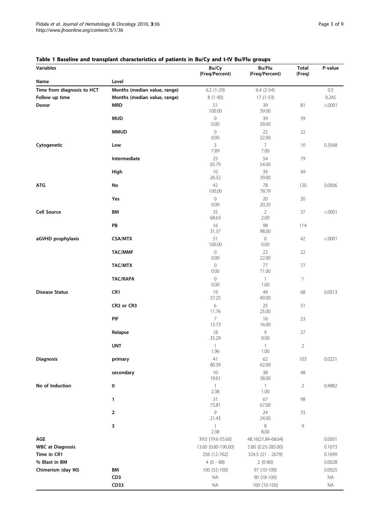| Variables                                    |                                                              | Bu/Cy<br>(Freq/Percent)       | Bu/Flu<br>(Freq/Percent)    | <b>Total</b><br>(Freq) | P-value      |
|----------------------------------------------|--------------------------------------------------------------|-------------------------------|-----------------------------|------------------------|--------------|
| Name                                         | Level                                                        |                               |                             |                        |              |
| Time from diagnosis to HCT<br>Follow up time | Months (median value, range)<br>Months (median value, range) | $6.2(1-29)$<br>$8(1-90)$      | $6.4(2-54)$<br>$17(1-53)$   |                        | 0.5<br>0.245 |
| Donor                                        | <b>MRD</b>                                                   | 51<br>100.00                  | 39<br>39.00                 | 81                     | < .0001      |
|                                              | <b>MUD</b>                                                   | $\mathsf{O}\xspace$           | 39                          | 39                     |              |
|                                              | <b>MMUD</b>                                                  | 0.00<br>$\circ$               | 39.00<br>22                 | 22                     |              |
| Cytogenetic                                  |                                                              | 0.00<br>3                     | 22.00<br>$\overline{7}$     |                        |              |
|                                              | Low                                                          | 7.89                          | 7.00                        | 10                     | 0.3568       |
|                                              | Intermediate                                                 | 25<br>65.79                   | 54<br>54.00                 | 79                     |              |
|                                              | High                                                         | 10<br>26.32                   | 39<br>39.00                 | 49                     |              |
| ATG                                          | No                                                           | 42                            | 78                          | 120                    | 0.0006       |
|                                              | Yes                                                          | 100.00<br>$\mathsf{O}\xspace$ | 78.79<br>20                 | 20                     |              |
|                                              |                                                              | 0.00                          | 20.20                       |                        |              |
| Cell Source                                  | BM                                                           | 35<br>68.63                   | $\overline{2}$<br>2.00      | 37                     | < .0001      |
|                                              | PB                                                           | 16<br>31.37                   | 98<br>98.00                 | 114                    |              |
| aGVHD prophylaxis                            | <b>CSA/MTX</b>                                               | 51<br>100.00                  | $\mathsf{O}\xspace$<br>0.00 | 42                     | < .0001      |
|                                              | <b>TAC/MMF</b>                                               | $\mathsf{O}\xspace$           | 22                          | 22                     |              |
|                                              | <b>TAC/MTX</b>                                               | 0.00<br>$\mathbb O$           | 22.00<br>77                 | 77                     |              |
|                                              | <b>TAC/RAPA</b>                                              | 0.00<br>$\mathbf 0$           | 71.00<br>$\mathbf{1}$       | $\mathbf{1}$           |              |
|                                              |                                                              | 0.00                          | 1.00                        |                        |              |
| <b>Disease Status</b>                        | CR1                                                          | 19<br>37.25                   | 49<br>49.00                 | 68                     | 0.0013       |
|                                              | CR2 or CR3                                                   | 6<br>11.76                    | 25<br>25.00                 | 31                     |              |
|                                              | PIF                                                          | $\overline{7}$                | 16                          | 23                     |              |
|                                              | Relapse                                                      | 13.73<br>18                   | 16.00<br>9                  | $27$                   |              |
|                                              |                                                              | 35.29                         | 9.00                        |                        |              |
|                                              | <b>UNT</b>                                                   | $\mathbf{1}$<br>1.96          | $\mathbf{1}$<br>1.00        | $\overline{2}$         |              |
| <b>Diagnosis</b>                             | primary                                                      | 41<br>80.39                   | 62<br>62.00                 | 103                    | 0.0221       |
|                                              | secondary                                                    | 10<br>19.61                   | 38<br>38.00                 | 48                     |              |
| No of Induction                              | 0                                                            | $\overline{1}$                | $\mathbf{1}$                | $\overline{2}$         | 0.4882       |
|                                              | $\mathbf{1}$                                                 | 2.38<br>31                    | 1.00<br>67                  | 98                     |              |
|                                              |                                                              | 73.81<br>9                    | 67.00<br>24                 |                        |              |
|                                              | $\overline{2}$                                               | 21.43                         | 24.00                       | 33                     |              |
|                                              | 3                                                            | $\mathbf{1}$<br>2.38          | 8<br>8.00                   | 9                      |              |
| AGE                                          |                                                              | 39.0 (19.6-55.60)             | 48.16(21.84-68.64)          |                        | 0.0001       |
| <b>WBC at Diagnosis</b>                      |                                                              | 13.60 (0.80-190.00)           | 5.80 (0.25-285.00)          |                        | 0.1073       |
| Time in CR1                                  |                                                              | 256 (12-762)                  | 324.5 (21 - 2679)           |                        | 0.1699       |
| % Blast in BM                                |                                                              | $4(0 - 88)$                   | $2(0-80)$                   |                        | 0.0028       |
| Chimerism (day 90)                           | BM                                                           | 100 (55-100)                  | 97 (10-100)                 |                        | 0.0925       |

CD3 NA 90 (18-100) NA CD33 NA 100 (10-100) NA

#### <span id="page-2-0"></span>Table 1 Baseline and transplant characteristics of patients in Bu/Cy and t-IV Bu/Flu groups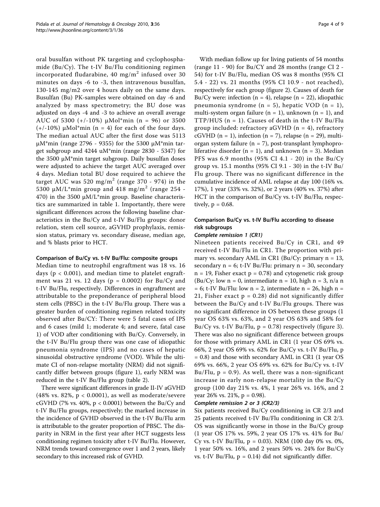oral busulfan without PK targeting and cyclophosphamide (Bu/Cy). The t-IV Bu/Flu conditioning regimen incorporated fludarabine, 40 mg/m<sup>2</sup> infused over 30 minutes on days -6 to -3, then intravenous busulfan, 130-145 mg/m2 over 4 hours daily on the same days. Busulfan (Bu) PK-samples were obtained on day -6 and analyzed by mass spectrometry; the BU dose was adjusted on days -4 and -3 to achieve an overall average AUC of 5300  $(+/-10\%)$   $\mu$ Mol\*min (n = 96) or 3500 ( $+/-10\%$ )  $\mu$ Mol<sup>\*</sup>min (n = 4) for each of the four days. The median actual AUC after the first dose was 5113 μM\*min (range 2796 - 9355) for the 5300 μM\*min target subgroup and 4244 uM\*min (range 2830 - 5347) for the 3500 μM\*min target subgroup. Daily busulfan doses were adjusted to achieve the target AUC averaged over 4 days. Median total BU dose required to achieve the target AUC was 520 mg/m<sup>2</sup> (range 370 - 974) in the 5300  $\mu$ M/L\*min group and 418 mg/m<sup>2</sup> (range 254 -470) in the 3500  $μM/L*$ min group. Baseline characteristics are summarized in table [1](#page-2-0). Importantly, there were significant differences across the following baseline characteristics in the Bu/Cy and t-IV Bu/Flu groups: donor relation, stem cell source, aGVHD prophylaxis, remission status, primary vs. secondary disease, median age, and % blasts prior to HCT.

#### Comparison of Bu/Cy vs. t-IV Bu/Flu: composite groups

Median time to neutrophil engraftment was 18 vs. 16 days ( $p < 0.001$ ), and median time to platelet engraftment was 21 vs. 12 days ( $p = 0.0002$ ) for Bu/Cy and t-IV Bu/Flu, respectively. Differences in engraftment are attributable to the preponderance of peripheral blood stem cells (PBSC) in the t-IV Bu/Flu group. There was a greater burden of conditioning regimen related toxicity observed after Bu/CY: There were 5 fatal cases of IPS and 6 cases (mild 1; moderate 4; and severe, fatal case 1) of VOD after conditioning with Bu/Cy. Conversely, in the t-IV Bu/Flu group there was one case of idiopathic pneumonia syndrome (IPS) and no cases of hepatic sinusoidal obstructive syndrome (VOD). While the ultimate CI of non-relapse mortality (NRM) did not significantly differ between groups (figure [1\)](#page-4-0), early NRM was reduced in the t-IV Bu/Flu group (table [2](#page-4-0)).

There were significant differences in grade II-IV aGVHD (48% vs. 82%,  $p < 0.0001$ ), as well as moderate/severe cGVHD (7% vs. 40%,  $p < 0.0001$ ) between the Bu/Cy and t-IV Bu/Flu groups, respectively; the marked increase in the incidence of GVHD observed in the t-IV Bu/Flu arm is attributable to the greater proportion of PBSC. The disparity in NRM in the first year after HCT suggests less conditioning regimen toxicity after t-IV Bu/Flu. However, NRM trends toward convergence over 1 and 2 years, likely secondary to this increased risk of GVHD.

With median follow up for living patients of 54 months (range 11 - 90) for Bu/CY and 28 months (range CI 2 - 54) for t-IV Bu/Flu, median OS was 8 months (95% CI 5.4 - 22) vs. 21 months (95% CI 10.9 - not reached), respectively for each group (figure [2\)](#page-5-0). Causes of death for Bu/Cy were: infection ( $n = 4$ ), relapse ( $n = 22$ ), idiopathic pneumonia syndrome  $(n = 5)$ , hepatic VOD  $(n = 1)$ , multi-system organ failure ( $n = 1$ ), unknown ( $n = 1$ ), and  $TTP/HUS$  (n = 1). Causes of death in the t-IV Bu/Flu group included: refractory aGVHD ( $n = 4$ ), refractory cGVHD ( $n = 1$ ), infection ( $n = 7$ ), relapse ( $n = 29$ ), multiorgan system failure (n = 7), post-transplant lymphoproliferative disorder ( $n = 1$ ), and unknown ( $n = 3$ ). Median PFS was 6.9 months (95% CI 4.1 - 20) in the Bu/Cy group vs. 15.1 months (95% CI 9.1 - 30) in the t-IV Bu/ Flu group. There was no significant difference in the cumulative incidence of AML relapse at day 100 (16% vs. 17%), 1 year (33% vs. 32%), or 2 years (40% vs. 37%) after HCT in the comparison of Bu/Cy vs. t-IV Bu/Flu, respectively,  $p = 0.68$ .

# Comparison Bu/Cy vs. t-IV Bu/Flu according to disease risk subgroups

### Complete remission 1 (CR1)

Nineteen patients received Bu/Cy in CR1, and 49 received t-IV Bu/Flu in CR1. The proportion with primary vs. secondary AML in CR1 (Bu/Cy: primary  $n = 13$ , secondary  $n = 6$ ; t-IV Bu/Flu: primary  $n = 30$ , secondary  $n = 19$ , Fisher exact  $p = 0.78$ ) and cytogenetic risk group (Bu/Cy: low  $n = 0$ , intermediate  $n = 10$ , high  $n = 3$ ,  $n/a$  n  $= 6$ ; t-IV Bu/Flu: low  $n = 2$ , intermediate  $n = 26$ , high  $n =$ 21, Fisher exact  $p = 0.28$ ) did not significantly differ between the Bu/Cy and t-IV Bu/Flu groups. There was no significant difference in OS between these groups (1 year OS 63% vs. 63%, and 2 year OS 63% and 58% for Bu/Cy vs. t-IV Bu/Flu,  $p = 0.78$ ) respectively (figure [3](#page-5-0)). There was also no significant difference between groups for those with primary AML in CR1 (1 year OS 69% vs. 66%, 2 year OS 69% vs. 62% for Bu/Cy vs. t-IV Bu/Flu, p = 0.8) and those with secondary AML in CR1 (1 year OS 69% vs. 66%, 2 year OS 69% vs. 62% for Bu/Cy vs. t-IV Bu/Flu,  $p = 0.9$ ). As well, there was a non-significant increase in early non-relapse mortality in the Bu/Cy group (100 day 21% vs. 4%, 1 year 26% vs. 16%, and 2 year 26% vs. 21%, p = 0.98).

# Complete remission 2 or 3 (CR2/3)

Six patients received Bu/Cy conditioning in CR 2/3 and 25 patients received t-IV Bu/Flu conditioning in CR 2/3. OS was significantly worse in those in the Bu/Cy group (1 year OS 17% vs. 59%, 2 year OS 17% vs. 41% for Bu/ Cy vs. t-IV Bu/Flu, p = 0.03). NRM (100 day 0% vs. 0%, 1 year 50% vs. 16%, and 2 years 50% vs. 24% for Bu/Cy vs. t-IV Bu/Flu,  $p = 0.14$ ) did not significantly differ.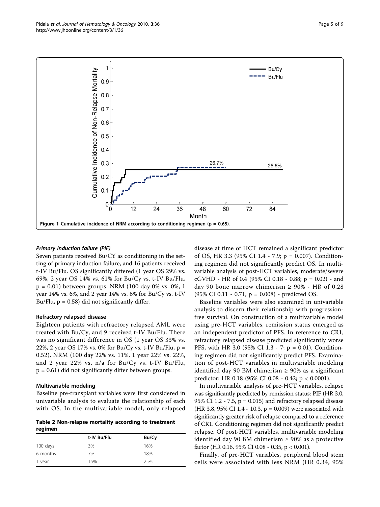Primary induction failure (PIF) Seven patients received Bu/CY as conditioning in the setting of primary induction failure, and 16 patients received t-IV Bu/Flu. OS significantly differed (1 year OS 29% vs. 69%, 2 year OS 14% vs. 61% for Bu/Cy vs. t-IV Bu/Flu, p = 0.01) between groups. NRM (100 day 0% vs. 0%, 1 year 14% vs. 6%, and 2 year 14% vs. 6% for Bu/Cy vs. t-IV Bu/Flu,  $p = 0.58$ ) did not significantly differ.

#### Refractory relapsed disease

Eighteen patients with refractory relapsed AML were treated with Bu/Cy, and 9 received t-IV Bu/Flu. There was no significant difference in OS (1 year OS 33% vs. 22%, 2 year OS 17% vs. 0% for Bu/Cy vs. t-IV Bu/Flu,  $p =$ 0.52). NRM (100 day 22% vs. 11%, 1 year 22% vs. 22%, and 2 year 22% vs. n/a for Bu/Cy vs. t-IV Bu/Flu,  $p = 0.61$ ) did not significantly differ between groups.

#### Multivariable modeling

Baseline pre-transplant variables were first considered in univariable analysis to evaluate the relationship of each with OS. In the multivariable model, only relapsed

Table 2 Non-relapse mortality according to treatment regimen

|          | t-IV Bu/Flu | Bu/Cy |  |
|----------|-------------|-------|--|
| 100 days | 3%          | 16%   |  |
| 6 months | 7%          | 18%   |  |
| 1 year   | 15%         | 25%   |  |

disease at time of HCT remained a significant predictor of OS, HR 3.3 (95% CI 1.4 - 7.9; p = 0.007). Conditioning regimen did not significantly predict OS. In multivariable analysis of post-HCT variables, moderate/severe cGVHD - HR of 0.4 (95% CI 0.18 - 0.88; p = 0.02) - and day 90 bone marrow chimerism  $\geq$  90% - HR of 0.28 (95% CI 0.11 - 0.71; p = 0.008) - predicted OS.

Baseline variables were also examined in univariable analysis to discern their relationship with progressionfree survival. On construction of a multivariable model using pre-HCT variables, remission status emerged as an independent predictor of PFS. In reference to CR1, refractory relapsed disease predicted significantly worse PFS, with HR 3.0 (95% CI 1.3 - 7; p = 0.01). Conditioning regimen did not significantly predict PFS. Examination of post-HCT variables in multivariable modeling identified day 90 BM chimerism  $\geq$  90% as a significant predictor: HR 0.18 (95% CI 0.08 - 0.42; p < 0.0001).

In multivariable analysis of pre-HCT variables, relapse was significantly predicted by remission status: PIF (HR 3.0, 95% CI 1.2 - 7.5,  $p = 0.015$ ) and refractory relapsed disease (HR 3.8, 95% CI 1.4 - 10.3, p = 0.009) were associated with significantly greater risk of relapse compared to a reference of CR1. Conditioning regimen did not significantly predict relapse. Of post-HCT variables, multivariable modeling identified day 90 BM chimerism  $\geq$  90% as a protective factor (HR 0.16, 95% CI 0.08 - 0.35, p < 0.001).

Finally, of pre-HCT variables, peripheral blood stem cells were associated with less NRM (HR 0.34, 95%

<span id="page-4-0"></span>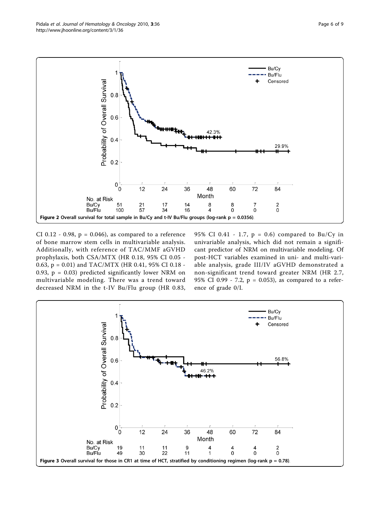<span id="page-5-0"></span>Pidala et al. Journal of Hematology & Oncology 2010, <sup>3</sup>:36 http://www.jhoonline.org/content/3/1/36



CI 0.12 - 0.98,  $p = 0.046$ , as compared to a reference of bone marrow stem cells in multivariable analysis. Additionally, with reference of TAC/MMF aGVHD prophylaxis, both CSA/MTX (HR 0.18, 95% CI 0.05 - 0.63, p = 0.01) and TAC/MTX (HR 0.41, 95% CI 0.18 - 0.93, p = 0.03) predicted significantly lower NRM on multivariable modeling. There was a trend toward decreased NRM in the t-IV Bu/Flu group (HR 0.83, 95% CI 0.41 - 1.7,  $p = 0.6$  compared to Bu/Cy in univariable analysis, which did not remain a significant predictor of NRM on multivariable modeling. Of post-HCT variables examined in uni- and multi-variable analysis, grade III/IV aGVHD demonstrated a non-significant trend toward greater NRM (HR 2.7, 95% CI 0.99 - 7.2, p = 0.053), as compared to a reference of grade 0/I.

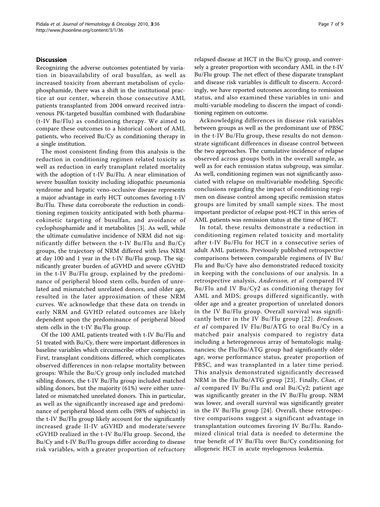#### **Discussion**

Recognizing the adverse outcomes potentiated by variation in bioavailability of oral busulfan, as well as increased toxicity from aberrant metabolism of cyclophosphamide, there was a shift in the institutional practice at our center, wherein those consecutive AML patients transplanted from 2004 onward received intravenous PK-targeted busulfan combined with fludarabine (t-IV Bu/Flu) as conditioning therapy. We aimed to compare these outcomes to a historical cohort of AML patients, who received Bu/Cy as conditioning therapy in a single institution.

The most consistent finding from this analysis is the reduction in conditioning regimen related toxicity as well as reduction in early transplant related mortality with the adoption of t-IV Bu/Flu. A near elimination of severe busulfan toxicity including idiopathic pneumonia syndrome and hepatic veno-occlusive disease represents a major advantage in early HCT outcomes favoring t-IV Bu/Flu. These data corroborate the reduction in conditioning regimen toxicity anticipated with both pharmacokinetic targeting of busulfan, and avoidance of cyclophosphamide and it metabolites [\[3](#page-7-0)]. As well, while the ultimate cumulative incidence of NRM did not significantly differ between the t-IV Bu/Flu and Bu/Cy groups, the trajectory of NRM differed with less NRM at day 100 and 1 year in the t-IV Bu/Flu group. The significantly greater burden of aGVHD and severe cGVHD in the t-IV Bu/Flu group, explained by the predominance of peripheral blood stem cells, burden of unrelated and mismatched unrelated donors, and older age, resulted in the later approximation of these NRM curves. We acknowledge that these data on trends in early NRM and GVHD related outcomes are likely dependent upon the predominance of peripheral blood stem cells in the t-IV Bu/Flu group.

Of the 100 AML patients treated with t-IV Bu/Flu and 51 treated with Bu/Cy, there were important differences in baseline variables which circumscribe other comparisons. First, transplant conditions differed, which complicates observed differences in non-relapse mortality between groups: While the Bu/Cy group only included matched sibling donors, the t-IV Bu/Flu group included matched sibling donors, but the majority (61%) were either unrelated or mismatched unrelated donors. This in particular, as well as the significantly increased age and predominance of peripheral blood stem cells (98% of subjects) in the t-IV Bu/Flu group likely account for the significantly increased grade II-IV aGVHD and moderate/severe cGVHD realized in the t-IV Bu/Flu group. Second, the Bu/Cy and t-IV Bu/Flu groups differ according to disease risk variables, with a greater proportion of refractory relapsed disease at HCT in the Bu/Cy group, and conversely a greater proportion with secondary AML in the t-IV Bu/Flu group. The net effect of these disparate transplant and disease risk variables is difficult to discern. Accordingly, we have reported outcomes according to remission status, and also examined these variables in uni- and multi-variable modeling to discern the impact of conditioning regimen on outcome.

Acknowledging differences in disease risk variables between groups as well as the predominant use of PBSC in the t-IV Bu/Flu group, these results do not demonstrate significant differences in disease control between the two approaches. The cumulative incidence of relapse observed across groups both in the overall sample, as well as for each remission status subgroup, was similar. As well, conditioning regimen was not significantly associated with relapse on multivariable modeling. Specific conclusions regarding the impact of conditioning regimen on disease control among specific remission status groups are limited by small sample sizes. The most important predictor of relapse post-HCT in this series of AML patients was remission status at the time of HCT.

In total, these results demonstrate a reduction in conditioning regimen related toxicity and mortality after t-IV Bu/Flu for HCT in a consecutive series of adult AML patients. Previously published retrospective comparisons between comparable regimens of IV Bu/ Flu and Bu/Cy have also demonstrated reduced toxicity in keeping with the conclusions of our analysis. In a retrospective analysis, Andersson, et al compared IV Bu/Flu and IV Bu/Cy2 as conditioning therapy for AML and MDS; groups differed significantly, with older age and a greater proportion of unrelated donors in the IV Bu/Flu group. Overall survival was significantly better in the IV Bu/Flu group [[22](#page-7-0)]. Bredeson, et al compared IV Flu/Bu/ATG to oral Bu/Cy in a matched pair analysis compared to registry data including a heterogeneous array of hematologic malignancies; the Flu/Bu/ATG group had significantly older age, worse performance status, greater proportion of PBSC, and was transplanted in a later time period. This analysis demonstrated significantly decreased NRM in the Flu/Bu/ATG group [[23\]](#page-8-0). Finally, Chae, et al compared IV Bu/Flu and oral Bu/Cy2; patient age was significantly greater in the IV Bu/Flu group. NRM was lower, and overall survival was significantly greater in the IV Bu/Flu group [[24\]](#page-8-0). Overall, these retrospective comparisons suggest a significant advantage in transplantation outcomes favoring IV Bu/Flu. Randomized clinical trial data is needed to determine the true benefit of IV Bu/Flu over Bu/Cy conditioning for allogeneic HCT in acute myelogenous leukemia.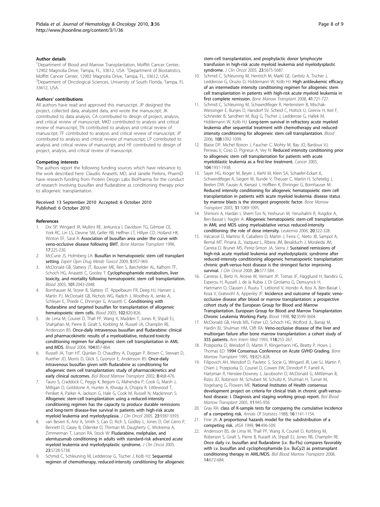#### <span id="page-7-0"></span>Author details

<sup>1</sup>Department of Blood and Marrow Transplantation, Moffitt Cancer Center, 12902 Magnolia Drive, Tampa, FL, 33612, USA. <sup>2</sup>Department of Biostatistics, Moffitt Cancer Center, 12902 Magnolia Drive, Tampa, FL, 33612, USA. <sup>3</sup>Department of Oncological Sciences, University of South Florida, Tampa, FL 33612, USA.

#### Authors' contributions

All authors have read and approved this manuscript. JP designed the project, collected data, analyzed data, and wrote the manuscript; JK contributed to data analysis; CA contributed to design of project, analysis, and critical review of manuscript; MKD contributed to analysis and critical review of manuscript; TN contributed to analysis and critical review of manuscript; TF contributed to analysis and critical review of manuscript; JP contributed to analysis and critical review of manuscript; LP contributed to analysis and critical review of manuscript; and HF contributed to design of project, analysis, and critical review of manuscript.

#### Competing interests

The authors report the following funding sources which have relevance to the work described here: Claudio Anasetti, MD, and Janelle Perkins, PharmD have research funding from Protein Design Labs BioPharma for the conduct of research involving busulfan and fludarabine as conditioning therapy prior to allogeneic transplantation.

#### Received: 13 September 2010 Accepted: 6 October 2010 Published: 6 October 2010

#### References

- 1. Dix SP, Wingard JR, Mullins RE, Jerkunica I, Davidson TG, Gilmore CE, York RC, Lin LS, Devine SM, Geller RB, Heffner LT, Hillyer CD, Holland HK, Winton EF, Saral R: [Association of busulfan area under the curve with](http://www.ncbi.nlm.nih.gov/pubmed/8640171?dopt=Abstract) [veno-occlusive disease following BMT.](http://www.ncbi.nlm.nih.gov/pubmed/8640171?dopt=Abstract) Bone Marrow Transplant 1996, 17:225-230.
- 2. McCune JS, Holmberg LA: [Busulfan in hematopoietic stem cell transplant](http://www.ncbi.nlm.nih.gov/pubmed/19611402?dopt=Abstract) [setting.](http://www.ncbi.nlm.nih.gov/pubmed/19611402?dopt=Abstract) Expert Opin Drug Metab Toxicol 2009, 5:957-969.
- 3. McDonald GB, Slattery JT, Bouvier ME, Ren S, Batchelder AL, Kalhorn TF, Schoch HG, Anasetti C, Gooley T: [Cyclophosphamide metabolism, liver](http://www.ncbi.nlm.nih.gov/pubmed/12406916?dopt=Abstract) [toxicity, and mortality following hematopoietic stem cell transplantation.](http://www.ncbi.nlm.nih.gov/pubmed/12406916?dopt=Abstract) Blood 2003, 101:2043-2048.
- Bornhauser M, Storer B, Slattery JT, Appelbaum FR, Deeg HJ, Hansen J, Martin PJ, McDonald GB, Nichols WG, Radich J, Woolfrey A, Jenke A, Schleyer E, Thiede C, Ehninger G, Anasetti C: [Conditioning with](http://www.ncbi.nlm.nih.gov/pubmed/12676781?dopt=Abstract) [fludarabine and targeted busulfan for transplantation of allogeneic](http://www.ncbi.nlm.nih.gov/pubmed/12676781?dopt=Abstract) [hematopoietic stem cells.](http://www.ncbi.nlm.nih.gov/pubmed/12676781?dopt=Abstract) Blood 2003, 102:820-826.
- 5. de Lima M, Couriel D, Thall PF, Wang X, Madden T, Jones R, Shpall EJ, Shahjahan M, Pierre B, Giralt S, Korbling M, Russell JA, Champlin RE, Andersson BS: [Once-daily intravenous busulfan and fludarabine: clinical](http://www.ncbi.nlm.nih.gov/pubmed/15073038?dopt=Abstract) [and pharmacokinetic results of a myeloablative, reduced-toxicity](http://www.ncbi.nlm.nih.gov/pubmed/15073038?dopt=Abstract) [conditioning regimen for allogeneic stem cell transplantation in AML](http://www.ncbi.nlm.nih.gov/pubmed/15073038?dopt=Abstract) [and MDS.](http://www.ncbi.nlm.nih.gov/pubmed/15073038?dopt=Abstract) Blood 2004, 104:857-864.
- 6. Russell JA, Tran HT, Quinlan D, Chaudhry A, Duggan P, Brown C, Stewart D, Ruether JD, Morris D, Glick S, Gyonyor E, Andersson BS: [Once-daily](http://www.ncbi.nlm.nih.gov/pubmed/12374451?dopt=Abstract) [intravenous busulfan given with fludarabine as conditioning for](http://www.ncbi.nlm.nih.gov/pubmed/12374451?dopt=Abstract) [allogeneic stem cell transplantation: study of pharmacokinetics and](http://www.ncbi.nlm.nih.gov/pubmed/12374451?dopt=Abstract) [early clinical outcomes.](http://www.ncbi.nlm.nih.gov/pubmed/12374451?dopt=Abstract) Biol Blood Marrow Transplant 2002, 8:468-476.
- Tauro S, Craddock C, Peggs K, Begum G, Mahendra P, Cook G, Marsh J, Milligan D, Goldstone A, Hunter A, Khwaja A, Chopra R, Littlewood T, Peniket A, Parker A, Jackson G, Hale G, Cook M, Russell N, Mackinnon S: [Allogeneic stem-cell transplantation using a reduced-intensity](http://www.ncbi.nlm.nih.gov/pubmed/16314618?dopt=Abstract) [conditioning regimen has the capacity to produce durable remissions](http://www.ncbi.nlm.nih.gov/pubmed/16314618?dopt=Abstract) [and long-term disease-free survival in patients with high-risk acute](http://www.ncbi.nlm.nih.gov/pubmed/16314618?dopt=Abstract) [myeloid leukemia and myelodysplasia.](http://www.ncbi.nlm.nih.gov/pubmed/16314618?dopt=Abstract) J Clin Oncol 2005, 23:9387-9393.
- van Besien K, Artz A, Smith S, Cao D, Rich S, Godley L, Jones D, Del Cerro P, Bennett D, Casey B, Odenike O, Thirman M, Daugherty C, Wickrema A, Zimmerman T, Larson RA, Stock W: [Fludarabine, melphalan, and](http://www.ncbi.nlm.nih.gov/pubmed/16009946?dopt=Abstract) [alemtuzumab conditioning in adults with standard-risk advanced acute](http://www.ncbi.nlm.nih.gov/pubmed/16009946?dopt=Abstract) [myeloid leukemia and myelodysplastic syndrome.](http://www.ncbi.nlm.nih.gov/pubmed/16009946?dopt=Abstract) J Clin Oncol 2005, 23:5728-5738.
- Schmid C, Schleuning M, Ledderose G, Tischer J, Kolb HJ: [Sequential](http://www.ncbi.nlm.nih.gov/pubmed/16110027?dopt=Abstract) [regimen of chemotherapy, reduced-intensity conditioning for allogeneic](http://www.ncbi.nlm.nih.gov/pubmed/16110027?dopt=Abstract)

[stem-cell transplantation, and prophylactic donor lymphocyte](http://www.ncbi.nlm.nih.gov/pubmed/16110027?dopt=Abstract) [transfusion in high-risk acute myeloid leukemia and myelodysplastic](http://www.ncbi.nlm.nih.gov/pubmed/16110027?dopt=Abstract) [syndrome.](http://www.ncbi.nlm.nih.gov/pubmed/16110027?dopt=Abstract) J Clin Oncol 2005, 23:5675-5687.

- 10. Schmid C, Schleuning M, Hentrich M, Markl GE, Gerbitz A, Tischer J, Ledderose G, Oruzio D, Hiddemann W, Kolb HJ: [High antileukemic efficacy](http://www.ncbi.nlm.nih.gov/pubmed/18176613?dopt=Abstract) [of an intermediate intensity conditioning regimen for allogeneic stem](http://www.ncbi.nlm.nih.gov/pubmed/18176613?dopt=Abstract) [cell transplantation in patients with high-risk acute myeloid leukemia in](http://www.ncbi.nlm.nih.gov/pubmed/18176613?dopt=Abstract) [first complete remission.](http://www.ncbi.nlm.nih.gov/pubmed/18176613?dopt=Abstract) Bone Marrow Transplant 2008, 41:721-727.
- Schmid C, Schleuning M, Schwerdtfeger R, Hertenstein B, Mischak-Weissinger E, Bunjes D, Harsdorf SV, Scheid C, Holtick U, Greinix H, Keil F, Schneider B, Sandherr M, Bug G, Tischer J, Ledderose G, Hallek M, Hiddemann W, Kolb HJ: [Long-term survival in refractory acute myeloid](http://www.ncbi.nlm.nih.gov/pubmed/16551971?dopt=Abstract) [leukemia after sequential treatment with chemotherapy and reduced](http://www.ncbi.nlm.nih.gov/pubmed/16551971?dopt=Abstract)[intensity conditioning for allogeneic stem cell transplantation.](http://www.ncbi.nlm.nih.gov/pubmed/16551971?dopt=Abstract) Blood 2006, 108:1092-1099.
- 12. Blaise DP, Michel Boiron J, Faucher C, Mohty M, Bay JO, Bardoux VJ, Perreau V, Coso D, Pigneux A, Vey N: [Reduced intensity conditioning prior](http://www.ncbi.nlm.nih.gov/pubmed/16178004?dopt=Abstract) [to allogeneic stem cell transplantation for patients with acute](http://www.ncbi.nlm.nih.gov/pubmed/16178004?dopt=Abstract) [myeloblastic leukemia as a first-line treatment.](http://www.ncbi.nlm.nih.gov/pubmed/16178004?dopt=Abstract) Cancer 2005, 104:1931-1938.
- 13. Sayer HG, Kroger M, Beyer J, Kiehl M, Klein SA, Schaefer-Eckart K, Schwerdtfeger R, Siegert W, Runde V, Theuser C, Martin H, Schetelig J, Beelen DW, Fauser A, Kienast J, Hoffken K, Ehninger G, Bornhauser M: [Reduced intensity conditioning for allogeneic hematopoietic stem cell](http://www.ncbi.nlm.nih.gov/pubmed/12796788?dopt=Abstract) [transplantation in patients with acute myeloid leukemia: disease status](http://www.ncbi.nlm.nih.gov/pubmed/12796788?dopt=Abstract) [by marrow blasts is the strongest prognostic factor.](http://www.ncbi.nlm.nih.gov/pubmed/12796788?dopt=Abstract) Bone Marrow Transplant 2003, 31:1089-1095.
- 14. Shimoni A, Hardan I, Shem-Tov N, Yeshurun M, Yerushalmi R, Avigdor A, Ben-Bassat I, Nagler A: [Allogeneic hematopoietic stem-cell transplantation](http://www.ncbi.nlm.nih.gov/pubmed/16307018?dopt=Abstract) [in AML and MDS using myeloablative versus reduced-intensity](http://www.ncbi.nlm.nih.gov/pubmed/16307018?dopt=Abstract) [conditioning: the role of dose intensity.](http://www.ncbi.nlm.nih.gov/pubmed/16307018?dopt=Abstract) Leukemia 2006, 20:322-328.
- 15. Valcarcel D, Martino R, Caballero D, Martin J, Ferra C, Nieto JB, Sampol A, Bernal MT, Pinana JL, Vazquez L, Ribera JM, Besalduch J, Moraleda JM, Carrera D, Brunet MS, Perez-Simon JA, Sierra J: [Sustained remissions of](http://www.ncbi.nlm.nih.gov/pubmed/18086801?dopt=Abstract) [high-risk acute myeloid leukemia and myelodysplastic syndrome after](http://www.ncbi.nlm.nih.gov/pubmed/18086801?dopt=Abstract) [reduced-intensity conditioning allogeneic hematopoietic transplantation:](http://www.ncbi.nlm.nih.gov/pubmed/18086801?dopt=Abstract) [chronic graft-versus-host disease is the strongest factor improving](http://www.ncbi.nlm.nih.gov/pubmed/18086801?dopt=Abstract) [survival.](http://www.ncbi.nlm.nih.gov/pubmed/18086801?dopt=Abstract) J Clin Oncol 2008, 26:577-584.
- 16. Carreras E, Bertz H, Arcese W, Vernant JP, Tomas JF, Hagglund H, Bandini G, Esperou H, Russell J, de la Rubia J, Di Girolamo G, Demuynck H, Hartmann O, Clausen J, Ruutu T, Leblond V, Iriondo A, Bosi A, Ben-Bassat I, Koza V, Gratwohl A, Apperley JF: [Incidence and outcome of hepatic veno](http://www.ncbi.nlm.nih.gov/pubmed/9808553?dopt=Abstract)[occlusive disease after blood or marrow transplantation: a prospective](http://www.ncbi.nlm.nih.gov/pubmed/9808553?dopt=Abstract) [cohort study of the European Group for Blood and Marrow](http://www.ncbi.nlm.nih.gov/pubmed/9808553?dopt=Abstract) [Transplantation. European Group for Blood and Marrow Transplantation](http://www.ncbi.nlm.nih.gov/pubmed/9808553?dopt=Abstract) [Chronic Leukemia Working Party.](http://www.ncbi.nlm.nih.gov/pubmed/9808553?dopt=Abstract) Blood 1998, 92:3599-3604.
- 17. McDonald GB, Hinds MS, Fisher LD, Schoch HG, Wolford JL, Banaji M, Hardin BJ, Shulman HM, Clift RA: [Veno-occlusive disease of the liver and](http://www.ncbi.nlm.nih.gov/pubmed/8420443?dopt=Abstract) [multiorgan failure after bone marrow transplantation: a cohort study of](http://www.ncbi.nlm.nih.gov/pubmed/8420443?dopt=Abstract) [355 patients.](http://www.ncbi.nlm.nih.gov/pubmed/8420443?dopt=Abstract) Ann Intern Med 1993, 118:255-267.
- 18. Przepiorka D, Weisdorf D, Martin P, Klingemann HG, Beatty P, Hows J, Thomas ED: [1994 Consensus Conference on Acute GVHD Grading.](http://www.ncbi.nlm.nih.gov/pubmed/7581076?dopt=Abstract) Bone Marrow Transplant 1995, 15:825-828.
- 19. Filipovich AH, Weisdorf D, Pavletic S, Socie G, Wingard JR, Lee SJ, Martin P, Chien J, Przepiorka D, Couriel D, Cowen EW, Dinndorf P, Farrell A, Hartzman R, Henslee-Downey J, Jacobsohn D, McDonald G, Mittleman B, Rizzo JD, Robinson M, Schubert M, Schultz K, Shulman H, Turner M, Vogelsang G, Flowers ME: [National Institutes of Health consensus](http://www.ncbi.nlm.nih.gov/pubmed/16338616?dopt=Abstract) [development project on criteria for clinical trials in chronic graft-versus](http://www.ncbi.nlm.nih.gov/pubmed/16338616?dopt=Abstract)[host disease: I. Diagnosis and staging working group report.](http://www.ncbi.nlm.nih.gov/pubmed/16338616?dopt=Abstract) Biol Blood Marrow Transplant 2005, 11:945-956.
- 20. Gray RA: class of K-sample tests for comparing the cumulative incidence of a competing risk. Annals Of Statistics 1988, 16:1141-1154.
- 21. Fine JA: A proportional hazards model for the subdistribution of a competing risk. JASA 1999, 94:496-509.
- 22. Andersson BS, de Lima M, Thall PF, Wang X, Couriel D, Korbling M, Roberson S, Giralt S, Pierre B, Russell JA, Shpall EJ, Jones RB, Champlin RE: [Once daily i.v. busulfan and fludarabine \(i.v. Bu-Flu\) compares favorably](http://www.ncbi.nlm.nih.gov/pubmed/18489993?dopt=Abstract) [with i.v. busulfan and cyclophosphamide \(i.v. BuCy2\) as pretransplant](http://www.ncbi.nlm.nih.gov/pubmed/18489993?dopt=Abstract) [conditioning therapy in AML/MDS.](http://www.ncbi.nlm.nih.gov/pubmed/18489993?dopt=Abstract) Biol Blood Marrow Transplant 2008, 14:672-684.